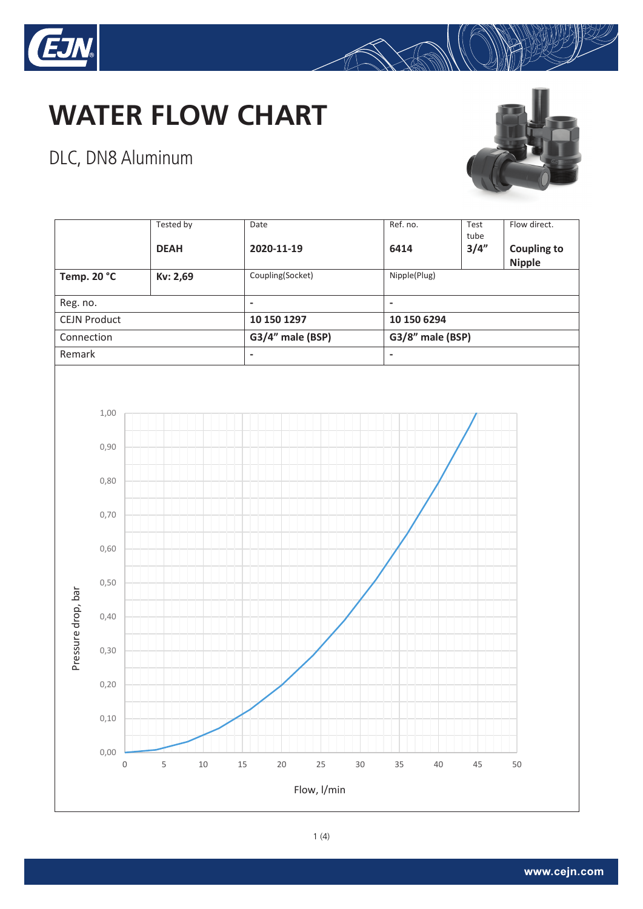

#### DLC, DN8 Aluminum



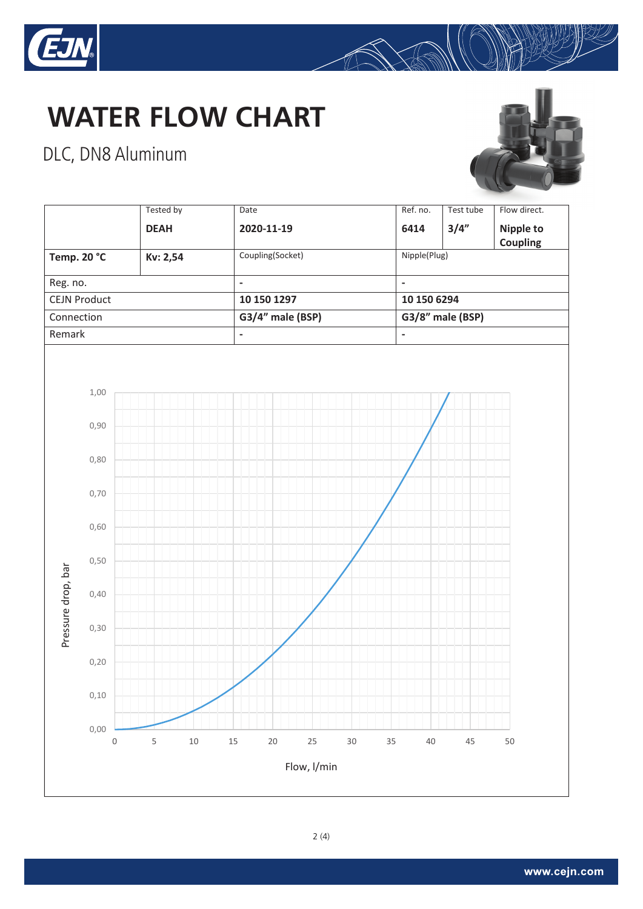

#### DLC, DN8 Aluminum



|                     |                          | <b>Tested by</b> |        | Date           |                  |    |        | Ref. no. | Test tube        | Flow direct.          |  |
|---------------------|--------------------------|------------------|--------|----------------|------------------|----|--------|----------|------------------|-----------------------|--|
|                     |                          | <b>DEAH</b>      |        |                | 2020-11-19       |    |        | 6414     | 3/4"             | Nipple to<br>Coupling |  |
| Temp. 20 °C         |                          | Kv: 2,54         |        |                | Coupling(Socket) |    |        |          | Nipple(Plug)     |                       |  |
| Reg. no.            |                          |                  |        | $\blacksquare$ |                  |    |        |          | $\blacksquare$   |                       |  |
| <b>CEJN Product</b> |                          |                  |        |                | 10 150 1297      |    |        |          | 10 150 6294      |                       |  |
| Connection          |                          |                  |        |                | G3/4" male (BSP) |    |        |          | G3/8" male (BSP) |                       |  |
| Remark              |                          |                  |        |                | $\blacksquare$   |    |        |          | $\blacksquare$   |                       |  |
|                     | 1,00                     |                  |        |                |                  |    |        |          |                  |                       |  |
| Pressure drop, bar  | 0,90                     |                  |        |                |                  |    |        |          |                  |                       |  |
|                     | 0,80                     |                  |        |                |                  |    |        |          |                  |                       |  |
|                     | 0,70                     |                  |        |                |                  |    |        |          |                  |                       |  |
|                     | 0,60                     |                  |        |                |                  |    |        |          |                  |                       |  |
|                     | 0,50                     |                  |        |                |                  |    |        |          |                  |                       |  |
|                     | 0,40                     |                  |        |                |                  |    |        |          |                  |                       |  |
|                     | 0, 30                    |                  |        |                |                  |    |        |          |                  |                       |  |
|                     | 0,20                     |                  |        |                |                  |    |        |          |                  |                       |  |
|                     | 0,10                     |                  |        |                |                  |    |        |          |                  |                       |  |
|                     | 0,00<br>$\boldsymbol{0}$ | $\mathsf S$      | $10\,$ | $15\,$         | 20               | 25 | $30\,$ | 35<br>40 | 45               | 50                    |  |
| Flow, l/min         |                          |                  |        |                |                  |    |        |          |                  |                       |  |

2(4)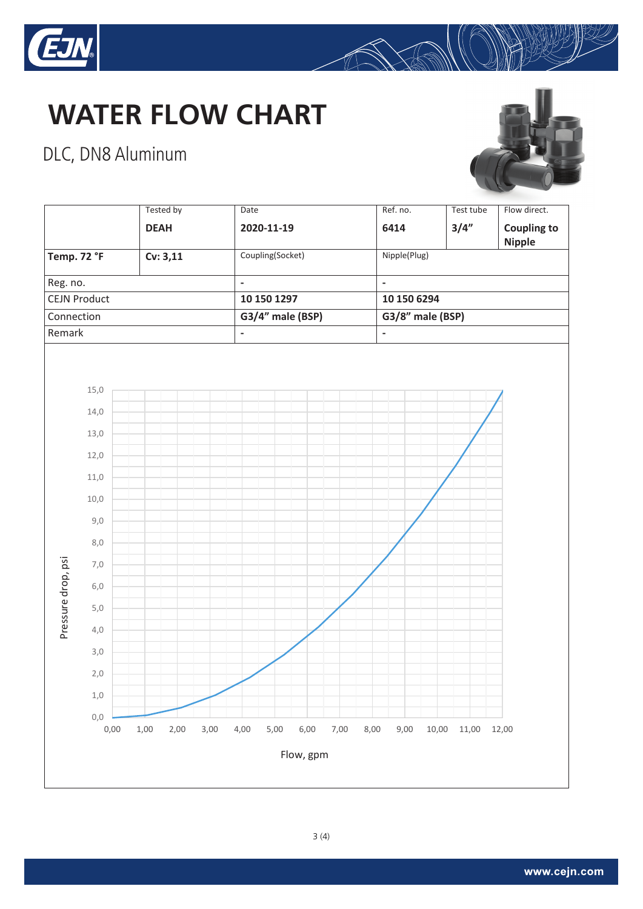

#### DLC, DN8 Aluminum



 $\bigotimes$ 



3(4)